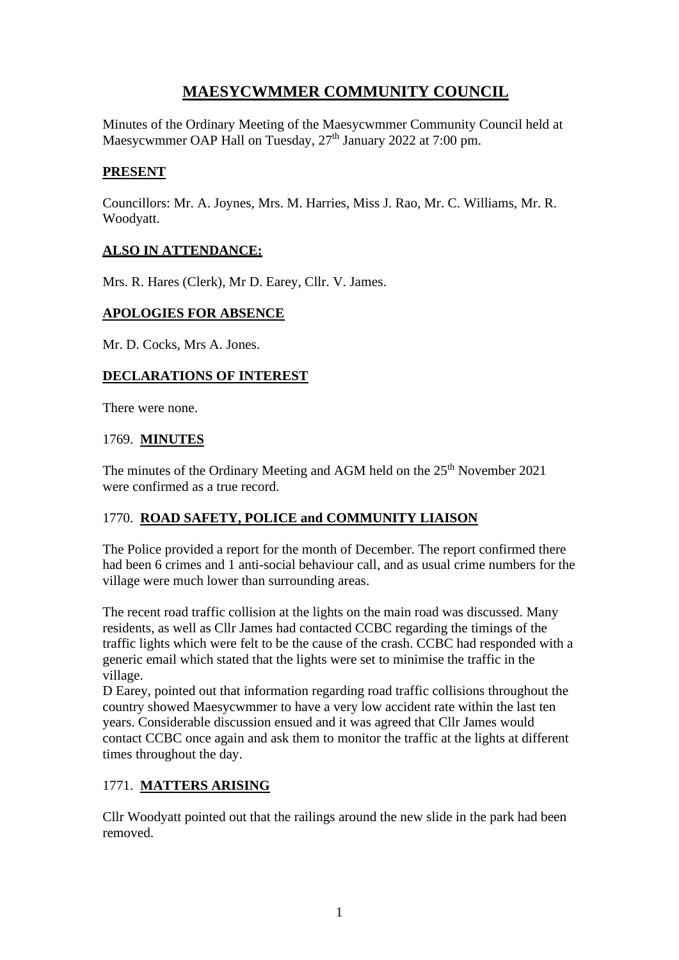# **MAESYCWMMER COMMUNITY COUNCIL**

Minutes of the Ordinary Meeting of the Maesycwmmer Community Council held at Maesycwmmer OAP Hall on Tuesday, 27<sup>th</sup> January 2022 at 7:00 pm.

#### **PRESENT**

Councillors: Mr. A. Joynes, Mrs. M. Harries, Miss J. Rao, Mr. C. Williams, Mr. R. Woodyatt.

#### **ALSO IN ATTENDANCE:**

Mrs. R. Hares (Clerk), Mr D. Earey, Cllr. V. James.

#### **APOLOGIES FOR ABSENCE**

Mr. D. Cocks, Mrs A. Jones.

#### **DECLARATIONS OF INTEREST**

There were none.

#### 1769. **MINUTES**

The minutes of the Ordinary Meeting and AGM held on the 25<sup>th</sup> November 2021 were confirmed as a true record.

## 1770. **ROAD SAFETY, POLICE and COMMUNITY LIAISON**

The Police provided a report for the month of December. The report confirmed there had been 6 crimes and 1 anti-social behaviour call, and as usual crime numbers for the village were much lower than surrounding areas.

The recent road traffic collision at the lights on the main road was discussed. Many residents, as well as Cllr James had contacted CCBC regarding the timings of the traffic lights which were felt to be the cause of the crash. CCBC had responded with a generic email which stated that the lights were set to minimise the traffic in the village.

D Earey, pointed out that information regarding road traffic collisions throughout the country showed Maesycwmmer to have a very low accident rate within the last ten years. Considerable discussion ensued and it was agreed that Cllr James would contact CCBC once again and ask them to monitor the traffic at the lights at different times throughout the day.

## 1771. **MATTERS ARISING**

Cllr Woodyatt pointed out that the railings around the new slide in the park had been removed.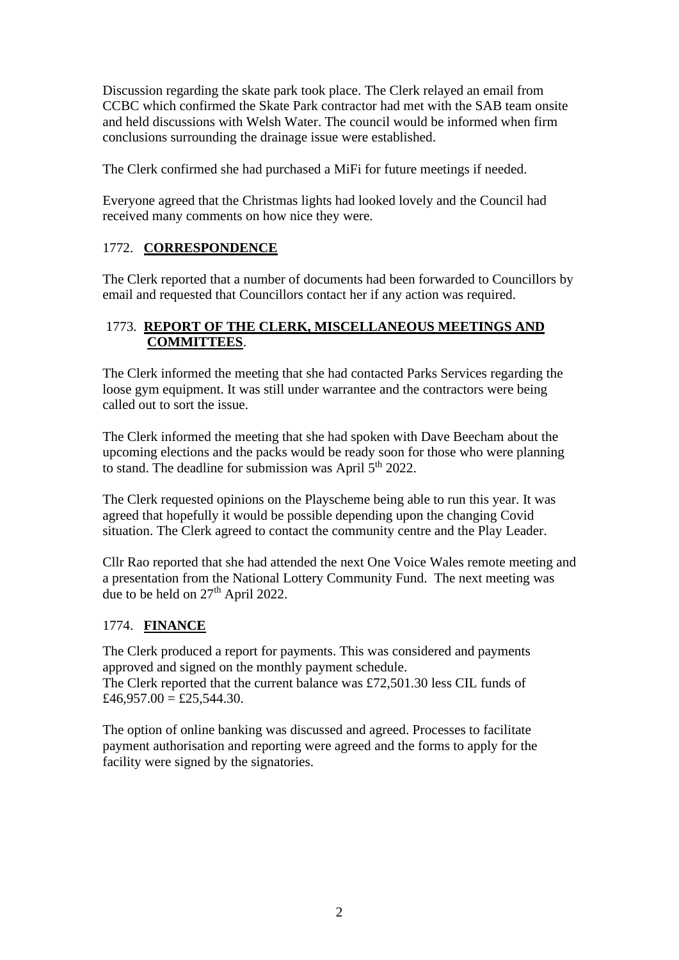Discussion regarding the skate park took place. The Clerk relayed an email from CCBC which confirmed the Skate Park contractor had met with the SAB team onsite and held discussions with Welsh Water. The council would be informed when firm conclusions surrounding the drainage issue were established.

The Clerk confirmed she had purchased a MiFi for future meetings if needed.

Everyone agreed that the Christmas lights had looked lovely and the Council had received many comments on how nice they were.

# 1772. **CORRESPONDENCE**

The Clerk reported that a number of documents had been forwarded to Councillors by email and requested that Councillors contact her if any action was required.

# 1773. **REPORT OF THE CLERK, MISCELLANEOUS MEETINGS AND COMMITTEES**.

The Clerk informed the meeting that she had contacted Parks Services regarding the loose gym equipment. It was still under warrantee and the contractors were being called out to sort the issue.

The Clerk informed the meeting that she had spoken with Dave Beecham about the upcoming elections and the packs would be ready soon for those who were planning to stand. The deadline for submission was April 5th 2022.

The Clerk requested opinions on the Playscheme being able to run this year. It was agreed that hopefully it would be possible depending upon the changing Covid situation. The Clerk agreed to contact the community centre and the Play Leader.

Cllr Rao reported that she had attended the next One Voice Wales remote meeting and a presentation from the National Lottery Community Fund. The next meeting was due to be held on 27<sup>th</sup> April 2022.

## 1774. **FINANCE**

The Clerk produced a report for payments. This was considered and payments approved and signed on the monthly payment schedule. The Clerk reported that the current balance was £72,501.30 less CIL funds of  $£46,957.00 = £25,544.30.$ 

The option of online banking was discussed and agreed. Processes to facilitate payment authorisation and reporting were agreed and the forms to apply for the facility were signed by the signatories.